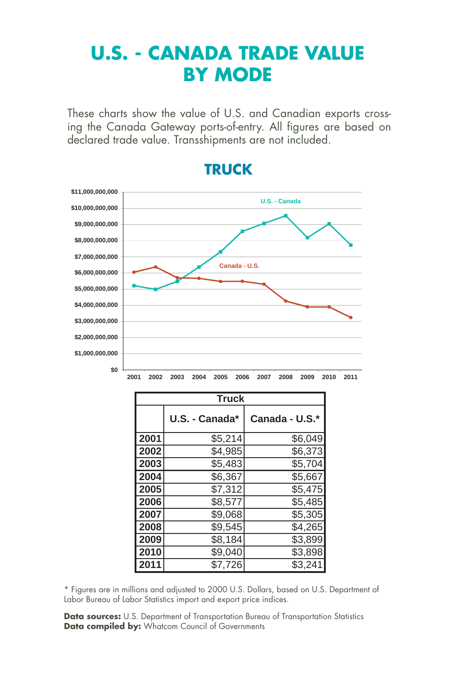# **U.S. - CANADA TRADE VALUE BY MODE**

These charts show the value of U.S. and Canadian exports crossing the Canada Gateway ports-of-entry. All figures are based on declared trade value. Transshipments are not included.



### **TRUCK**

| <b>Truck</b> |                |                |  |  |  |  |
|--------------|----------------|----------------|--|--|--|--|
|              | U.S. - Canada* | Canada - U.S.* |  |  |  |  |
| 2001         | \$5,214        | \$6,049        |  |  |  |  |
| 2002         | \$4,985        | \$6,373        |  |  |  |  |
| 2003         | \$5,483        | \$5,704        |  |  |  |  |
| 2004         | \$6,367        | \$5,667        |  |  |  |  |
| 2005         | \$7,312        | \$5,475        |  |  |  |  |
| 2006         | \$8,577        | \$5,485        |  |  |  |  |
| 2007         | \$9,068        | \$5,305        |  |  |  |  |
| 2008         | \$9,545        | \$4,265        |  |  |  |  |
| 2009         | \$8,184        | \$3,899        |  |  |  |  |
| 2010         | \$9,040        | \$3,898        |  |  |  |  |
| 2011         | \$7,726        | \$3,241        |  |  |  |  |

\* Figures are in millions and adjusted to 2000 U.S. Dollars, based on U.S. Department of Labor Bureau of Labor Statistics import and export price indices.

**Data sources:** U.S. Department of Transportation Bureau of Transportation Statistics **Data compiled by:** Whatcom Council of Governments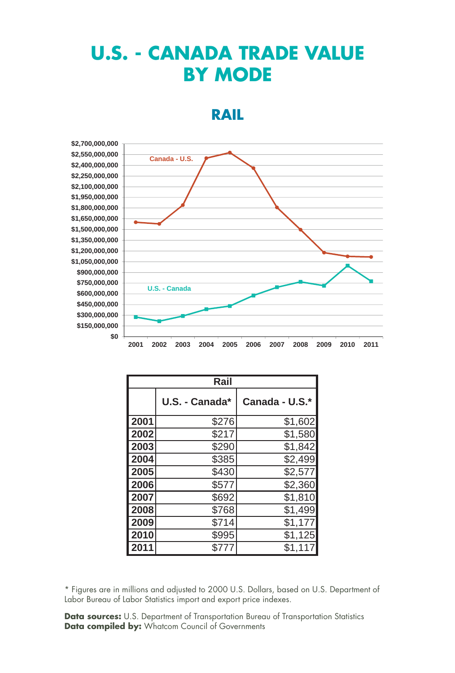## **U.S. - CANADA TRADE VALUE BY MODE**

#### **RAIL**



| 00,000,000 |      |               |               |      |      |      |      |      |      |      |      |
|------------|------|---------------|---------------|------|------|------|------|------|------|------|------|
| 50,000,000 |      |               | Canada - U.S. |      |      |      |      |      |      |      |      |
| 00,000,000 |      |               |               |      |      |      |      |      |      |      |      |
| 50,000,000 |      |               |               |      |      |      |      |      |      |      |      |
| 00,000,000 |      |               |               |      |      |      |      |      |      |      |      |
| 50,000,000 |      |               |               |      |      |      |      |      |      |      |      |
| 00,000,000 |      |               |               |      |      |      |      |      |      |      |      |
| 50,000,000 |      |               |               |      |      |      |      |      |      |      |      |
| 00,000,000 |      |               |               |      |      |      |      |      |      |      |      |
| 50,000,000 |      |               |               |      |      |      |      |      |      |      |      |
| 00,000,000 |      |               |               |      |      |      |      |      |      |      |      |
| 50,000,000 |      |               |               |      |      |      |      |      |      |      |      |
| 00,000,000 |      |               |               |      |      |      |      |      |      |      |      |
| 50,000,000 |      |               |               |      |      |      |      |      |      |      |      |
| 00,000,000 |      | U.S. - Canada |               |      |      |      |      |      |      |      |      |
| 50,000,000 |      |               |               |      |      |      |      |      |      |      |      |
| 00,000,000 |      |               |               |      |      |      |      |      |      |      |      |
| 50,000,000 |      |               |               |      |      |      |      |      |      |      |      |
| \$0        |      |               |               |      |      |      |      |      |      |      |      |
|            | 2001 | 2002          | 2003          | 2004 | 2005 | 2006 | 2007 | 2008 | 2009 | 2010 | 2011 |

| Rail         |                |                |  |  |  |  |
|--------------|----------------|----------------|--|--|--|--|
|              | U.S. - Canada* | Canada - U.S.* |  |  |  |  |
| 2001         | \$276          | \$1,602        |  |  |  |  |
| 2002         | \$217          | \$1,580        |  |  |  |  |
| 2003         | \$290          | \$1,842        |  |  |  |  |
| 2004         | \$385          | \$2,499        |  |  |  |  |
| 2005         | \$430          | \$2,577        |  |  |  |  |
| 2006         | \$577          | \$2,360        |  |  |  |  |
| 2007         | \$692          | \$1,810        |  |  |  |  |
| 2008         | \$768          | \$1,499        |  |  |  |  |
| 2009         | \$714          | \$1,177        |  |  |  |  |
| 2010         | \$995          | \$1,125        |  |  |  |  |
| $201\bar{1}$ | \$777          | \$1,117        |  |  |  |  |

\* Figures are in millions and adjusted to 2000 U.S. Dollars, based on U.S. Department of Labor Bureau of Labor Statistics import and export price indexes.

**Data sources:** U.S. Department of Transportation Bureau of Transportation Statistics **Data compiled by:** Whatcom Council of Governments